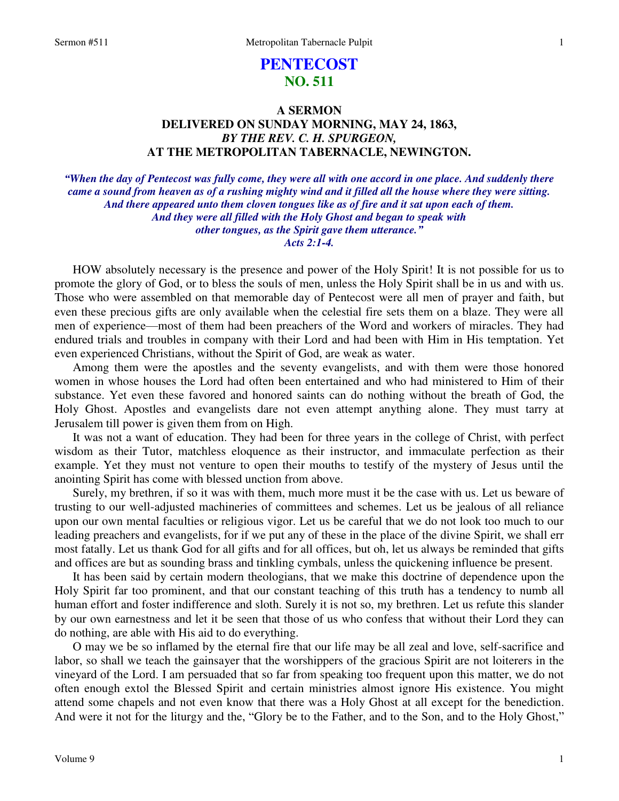# **PENTECOST NO. 511**

## **A SERMON DELIVERED ON SUNDAY MORNING, MAY 24, 1863,**  *BY THE REV. C. H. SPURGEON,*  **AT THE METROPOLITAN TABERNACLE, NEWINGTON.**

*"When the day of Pentecost was fully come, they were all with one accord in one place. And suddenly there came a sound from heaven as of a rushing mighty wind and it filled all the house where they were sitting. And there appeared unto them cloven tongues like as of fire and it sat upon each of them. And they were all filled with the Holy Ghost and began to speak with other tongues, as the Spirit gave them utterance." Acts 2:1-4.* 

HOW absolutely necessary is the presence and power of the Holy Spirit! It is not possible for us to promote the glory of God, or to bless the souls of men, unless the Holy Spirit shall be in us and with us. Those who were assembled on that memorable day of Pentecost were all men of prayer and faith, but even these precious gifts are only available when the celestial fire sets them on a blaze. They were all men of experience—most of them had been preachers of the Word and workers of miracles. They had endured trials and troubles in company with their Lord and had been with Him in His temptation. Yet even experienced Christians, without the Spirit of God, are weak as water.

Among them were the apostles and the seventy evangelists, and with them were those honored women in whose houses the Lord had often been entertained and who had ministered to Him of their substance. Yet even these favored and honored saints can do nothing without the breath of God, the Holy Ghost. Apostles and evangelists dare not even attempt anything alone. They must tarry at Jerusalem till power is given them from on High.

It was not a want of education. They had been for three years in the college of Christ, with perfect wisdom as their Tutor, matchless eloquence as their instructor, and immaculate perfection as their example. Yet they must not venture to open their mouths to testify of the mystery of Jesus until the anointing Spirit has come with blessed unction from above.

Surely, my brethren, if so it was with them, much more must it be the case with us. Let us beware of trusting to our well-adjusted machineries of committees and schemes. Let us be jealous of all reliance upon our own mental faculties or religious vigor. Let us be careful that we do not look too much to our leading preachers and evangelists, for if we put any of these in the place of the divine Spirit, we shall err most fatally. Let us thank God for all gifts and for all offices, but oh, let us always be reminded that gifts and offices are but as sounding brass and tinkling cymbals, unless the quickening influence be present.

It has been said by certain modern theologians, that we make this doctrine of dependence upon the Holy Spirit far too prominent, and that our constant teaching of this truth has a tendency to numb all human effort and foster indifference and sloth. Surely it is not so, my brethren. Let us refute this slander by our own earnestness and let it be seen that those of us who confess that without their Lord they can do nothing, are able with His aid to do everything.

O may we be so inflamed by the eternal fire that our life may be all zeal and love, self-sacrifice and labor, so shall we teach the gainsayer that the worshippers of the gracious Spirit are not loiterers in the vineyard of the Lord. I am persuaded that so far from speaking too frequent upon this matter, we do not often enough extol the Blessed Spirit and certain ministries almost ignore His existence. You might attend some chapels and not even know that there was a Holy Ghost at all except for the benediction. And were it not for the liturgy and the, "Glory be to the Father, and to the Son, and to the Holy Ghost,"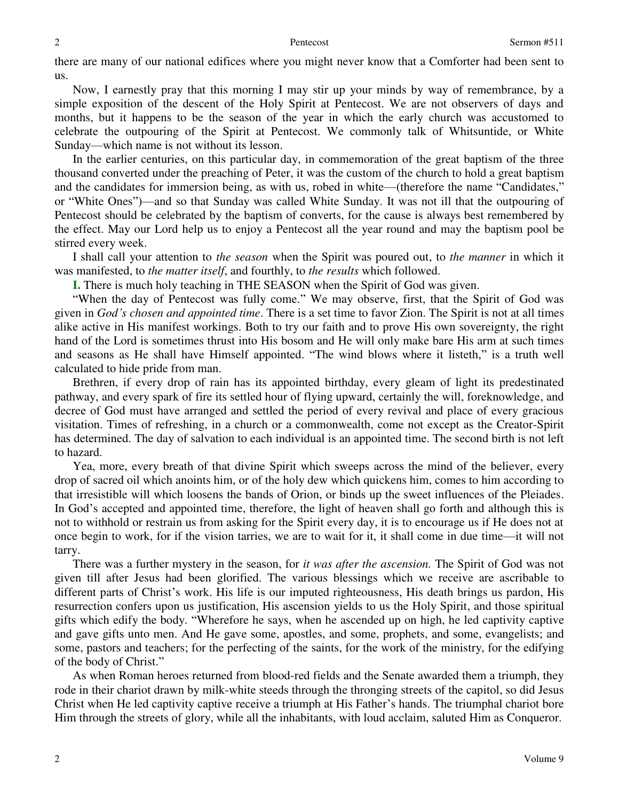there are many of our national edifices where you might never know that a Comforter had been sent to us.

Now, I earnestly pray that this morning I may stir up your minds by way of remembrance, by a simple exposition of the descent of the Holy Spirit at Pentecost. We are not observers of days and months, but it happens to be the season of the year in which the early church was accustomed to celebrate the outpouring of the Spirit at Pentecost. We commonly talk of Whitsuntide, or White Sunday—which name is not without its lesson.

In the earlier centuries, on this particular day, in commemoration of the great baptism of the three thousand converted under the preaching of Peter, it was the custom of the church to hold a great baptism and the candidates for immersion being, as with us, robed in white—(therefore the name "Candidates," or "White Ones")—and so that Sunday was called White Sunday. It was not ill that the outpouring of Pentecost should be celebrated by the baptism of converts, for the cause is always best remembered by the effect. May our Lord help us to enjoy a Pentecost all the year round and may the baptism pool be stirred every week.

I shall call your attention to *the season* when the Spirit was poured out, to *the manner* in which it was manifested, to *the matter itself*, and fourthly, to *the results* which followed.

**I.** There is much holy teaching in THE SEASON when the Spirit of God was given.

"When the day of Pentecost was fully come." We may observe, first, that the Spirit of God was given in *God's chosen and appointed time*. There is a set time to favor Zion. The Spirit is not at all times alike active in His manifest workings. Both to try our faith and to prove His own sovereignty, the right hand of the Lord is sometimes thrust into His bosom and He will only make bare His arm at such times and seasons as He shall have Himself appointed. "The wind blows where it listeth," is a truth well calculated to hide pride from man.

Brethren, if every drop of rain has its appointed birthday, every gleam of light its predestinated pathway, and every spark of fire its settled hour of flying upward, certainly the will, foreknowledge, and decree of God must have arranged and settled the period of every revival and place of every gracious visitation. Times of refreshing, in a church or a commonwealth, come not except as the Creator-Spirit has determined. The day of salvation to each individual is an appointed time. The second birth is not left to hazard.

Yea, more, every breath of that divine Spirit which sweeps across the mind of the believer, every drop of sacred oil which anoints him, or of the holy dew which quickens him, comes to him according to that irresistible will which loosens the bands of Orion, or binds up the sweet influences of the Pleiades. In God's accepted and appointed time, therefore, the light of heaven shall go forth and although this is not to withhold or restrain us from asking for the Spirit every day, it is to encourage us if He does not at once begin to work, for if the vision tarries, we are to wait for it, it shall come in due time—it will not tarry.

There was a further mystery in the season, for *it was after the ascension.* The Spirit of God was not given till after Jesus had been glorified. The various blessings which we receive are ascribable to different parts of Christ's work. His life is our imputed righteousness, His death brings us pardon, His resurrection confers upon us justification, His ascension yields to us the Holy Spirit, and those spiritual gifts which edify the body. "Wherefore he says, when he ascended up on high, he led captivity captive and gave gifts unto men. And He gave some, apostles, and some, prophets, and some, evangelists; and some, pastors and teachers; for the perfecting of the saints, for the work of the ministry, for the edifying of the body of Christ."

As when Roman heroes returned from blood-red fields and the Senate awarded them a triumph, they rode in their chariot drawn by milk-white steeds through the thronging streets of the capitol, so did Jesus Christ when He led captivity captive receive a triumph at His Father's hands. The triumphal chariot bore Him through the streets of glory, while all the inhabitants, with loud acclaim, saluted Him as Conqueror.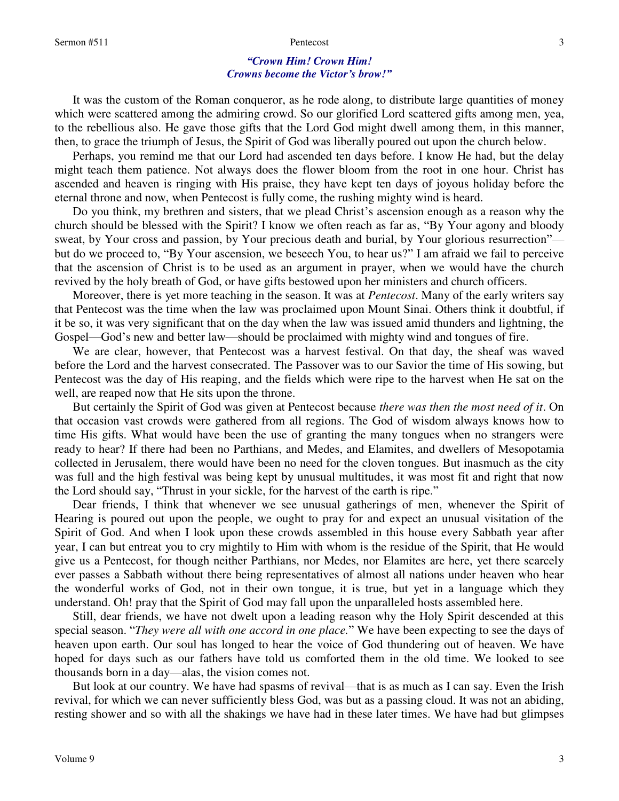## *"Crown Him! Crown Him! Crowns become the Victor's brow!"*

It was the custom of the Roman conqueror, as he rode along, to distribute large quantities of money which were scattered among the admiring crowd. So our glorified Lord scattered gifts among men, yea, to the rebellious also. He gave those gifts that the Lord God might dwell among them, in this manner, then, to grace the triumph of Jesus, the Spirit of God was liberally poured out upon the church below.

Perhaps, you remind me that our Lord had ascended ten days before. I know He had, but the delay might teach them patience. Not always does the flower bloom from the root in one hour. Christ has ascended and heaven is ringing with His praise, they have kept ten days of joyous holiday before the eternal throne and now, when Pentecost is fully come, the rushing mighty wind is heard.

Do you think, my brethren and sisters, that we plead Christ's ascension enough as a reason why the church should be blessed with the Spirit? I know we often reach as far as, "By Your agony and bloody sweat, by Your cross and passion, by Your precious death and burial, by Your glorious resurrection" but do we proceed to, "By Your ascension, we beseech You, to hear us?" I am afraid we fail to perceive that the ascension of Christ is to be used as an argument in prayer, when we would have the church revived by the holy breath of God, or have gifts bestowed upon her ministers and church officers.

Moreover, there is yet more teaching in the season. It was at *Pentecost*. Many of the early writers say that Pentecost was the time when the law was proclaimed upon Mount Sinai. Others think it doubtful, if it be so, it was very significant that on the day when the law was issued amid thunders and lightning, the Gospel—God's new and better law—should be proclaimed with mighty wind and tongues of fire.

We are clear, however, that Pentecost was a harvest festival. On that day, the sheaf was waved before the Lord and the harvest consecrated. The Passover was to our Savior the time of His sowing, but Pentecost was the day of His reaping, and the fields which were ripe to the harvest when He sat on the well, are reaped now that He sits upon the throne.

But certainly the Spirit of God was given at Pentecost because *there was then the most need of it*. On that occasion vast crowds were gathered from all regions. The God of wisdom always knows how to time His gifts. What would have been the use of granting the many tongues when no strangers were ready to hear? If there had been no Parthians, and Medes, and Elamites, and dwellers of Mesopotamia collected in Jerusalem, there would have been no need for the cloven tongues. But inasmuch as the city was full and the high festival was being kept by unusual multitudes, it was most fit and right that now the Lord should say, "Thrust in your sickle, for the harvest of the earth is ripe."

Dear friends, I think that whenever we see unusual gatherings of men, whenever the Spirit of Hearing is poured out upon the people, we ought to pray for and expect an unusual visitation of the Spirit of God. And when I look upon these crowds assembled in this house every Sabbath year after year, I can but entreat you to cry mightily to Him with whom is the residue of the Spirit, that He would give us a Pentecost, for though neither Parthians, nor Medes, nor Elamites are here, yet there scarcely ever passes a Sabbath without there being representatives of almost all nations under heaven who hear the wonderful works of God, not in their own tongue, it is true, but yet in a language which they understand. Oh! pray that the Spirit of God may fall upon the unparalleled hosts assembled here.

Still, dear friends, we have not dwelt upon a leading reason why the Holy Spirit descended at this special season. "*They were all with one accord in one place.*" We have been expecting to see the days of heaven upon earth. Our soul has longed to hear the voice of God thundering out of heaven. We have hoped for days such as our fathers have told us comforted them in the old time. We looked to see thousands born in a day—alas, the vision comes not.

But look at our country. We have had spasms of revival—that is as much as I can say. Even the Irish revival, for which we can never sufficiently bless God, was but as a passing cloud. It was not an abiding, resting shower and so with all the shakings we have had in these later times. We have had but glimpses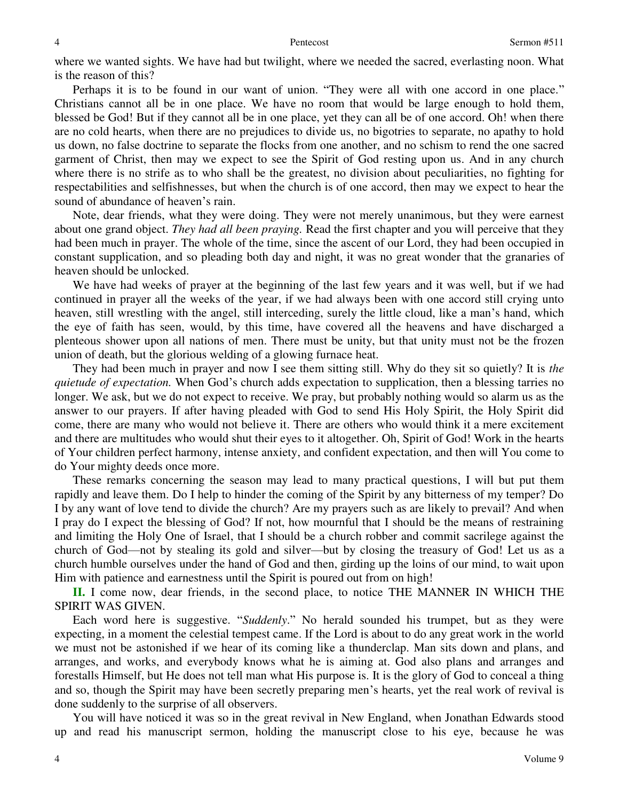where we wanted sights. We have had but twilight, where we needed the sacred, everlasting noon. What is the reason of this?

Perhaps it is to be found in our want of union. "They were all with one accord in one place." Christians cannot all be in one place. We have no room that would be large enough to hold them, blessed be God! But if they cannot all be in one place, yet they can all be of one accord. Oh! when there are no cold hearts, when there are no prejudices to divide us, no bigotries to separate, no apathy to hold us down, no false doctrine to separate the flocks from one another, and no schism to rend the one sacred garment of Christ, then may we expect to see the Spirit of God resting upon us. And in any church where there is no strife as to who shall be the greatest, no division about peculiarities, no fighting for respectabilities and selfishnesses, but when the church is of one accord, then may we expect to hear the sound of abundance of heaven's rain.

Note, dear friends, what they were doing. They were not merely unanimous, but they were earnest about one grand object. *They had all been praying.* Read the first chapter and you will perceive that they had been much in prayer. The whole of the time, since the ascent of our Lord, they had been occupied in constant supplication, and so pleading both day and night, it was no great wonder that the granaries of heaven should be unlocked.

We have had weeks of prayer at the beginning of the last few years and it was well, but if we had continued in prayer all the weeks of the year, if we had always been with one accord still crying unto heaven, still wrestling with the angel, still interceding, surely the little cloud, like a man's hand, which the eye of faith has seen, would, by this time, have covered all the heavens and have discharged a plenteous shower upon all nations of men. There must be unity, but that unity must not be the frozen union of death, but the glorious welding of a glowing furnace heat.

They had been much in prayer and now I see them sitting still. Why do they sit so quietly? It is *the quietude of expectation.* When God's church adds expectation to supplication, then a blessing tarries no longer. We ask, but we do not expect to receive. We pray, but probably nothing would so alarm us as the answer to our prayers. If after having pleaded with God to send His Holy Spirit, the Holy Spirit did come, there are many who would not believe it. There are others who would think it a mere excitement and there are multitudes who would shut their eyes to it altogether. Oh, Spirit of God! Work in the hearts of Your children perfect harmony, intense anxiety, and confident expectation, and then will You come to do Your mighty deeds once more.

These remarks concerning the season may lead to many practical questions, I will but put them rapidly and leave them. Do I help to hinder the coming of the Spirit by any bitterness of my temper? Do I by any want of love tend to divide the church? Are my prayers such as are likely to prevail? And when I pray do I expect the blessing of God? If not, how mournful that I should be the means of restraining and limiting the Holy One of Israel, that I should be a church robber and commit sacrilege against the church of God—not by stealing its gold and silver—but by closing the treasury of God! Let us as a church humble ourselves under the hand of God and then, girding up the loins of our mind, to wait upon Him with patience and earnestness until the Spirit is poured out from on high!

**II.** I come now, dear friends, in the second place, to notice THE MANNER IN WHICH THE SPIRIT WAS GIVEN.

Each word here is suggestive. "*Suddenly*." No herald sounded his trumpet, but as they were expecting, in a moment the celestial tempest came. If the Lord is about to do any great work in the world we must not be astonished if we hear of its coming like a thunderclap. Man sits down and plans, and arranges, and works, and everybody knows what he is aiming at. God also plans and arranges and forestalls Himself, but He does not tell man what His purpose is. It is the glory of God to conceal a thing and so, though the Spirit may have been secretly preparing men's hearts, yet the real work of revival is done suddenly to the surprise of all observers.

You will have noticed it was so in the great revival in New England, when Jonathan Edwards stood up and read his manuscript sermon, holding the manuscript close to his eye, because he was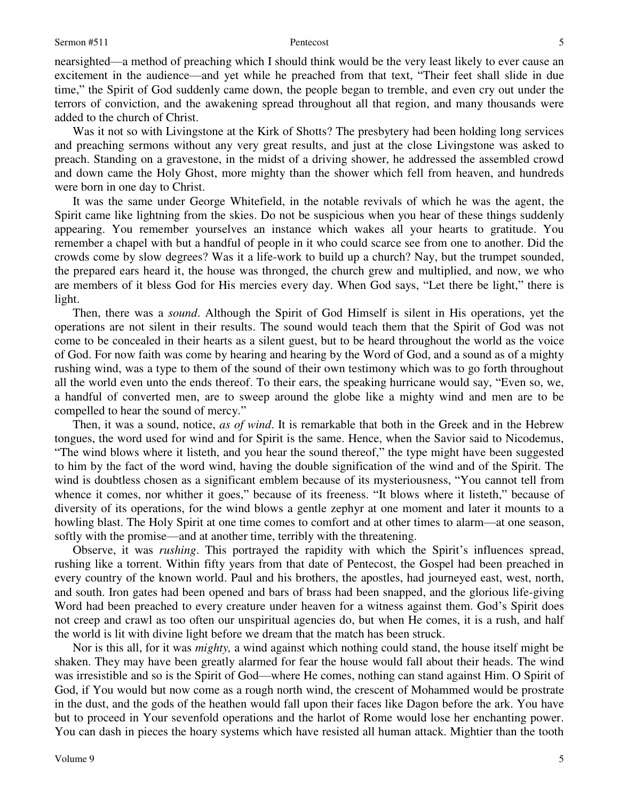nearsighted—a method of preaching which I should think would be the very least likely to ever cause an excitement in the audience—and yet while he preached from that text, "Their feet shall slide in due time," the Spirit of God suddenly came down, the people began to tremble, and even cry out under the terrors of conviction, and the awakening spread throughout all that region, and many thousands were added to the church of Christ.

Was it not so with Livingstone at the Kirk of Shotts? The presbytery had been holding long services and preaching sermons without any very great results, and just at the close Livingstone was asked to preach. Standing on a gravestone, in the midst of a driving shower, he addressed the assembled crowd and down came the Holy Ghost, more mighty than the shower which fell from heaven, and hundreds were born in one day to Christ.

It was the same under George Whitefield, in the notable revivals of which he was the agent, the Spirit came like lightning from the skies. Do not be suspicious when you hear of these things suddenly appearing. You remember yourselves an instance which wakes all your hearts to gratitude. You remember a chapel with but a handful of people in it who could scarce see from one to another. Did the crowds come by slow degrees? Was it a life-work to build up a church? Nay, but the trumpet sounded, the prepared ears heard it, the house was thronged, the church grew and multiplied, and now, we who are members of it bless God for His mercies every day. When God says, "Let there be light," there is light.

Then, there was a *sound*. Although the Spirit of God Himself is silent in His operations, yet the operations are not silent in their results. The sound would teach them that the Spirit of God was not come to be concealed in their hearts as a silent guest, but to be heard throughout the world as the voice of God. For now faith was come by hearing and hearing by the Word of God, and a sound as of a mighty rushing wind, was a type to them of the sound of their own testimony which was to go forth throughout all the world even unto the ends thereof. To their ears, the speaking hurricane would say, "Even so, we, a handful of converted men, are to sweep around the globe like a mighty wind and men are to be compelled to hear the sound of mercy."

Then, it was a sound, notice, *as of wind*. It is remarkable that both in the Greek and in the Hebrew tongues, the word used for wind and for Spirit is the same. Hence, when the Savior said to Nicodemus, "The wind blows where it listeth, and you hear the sound thereof," the type might have been suggested to him by the fact of the word wind, having the double signification of the wind and of the Spirit. The wind is doubtless chosen as a significant emblem because of its mysteriousness, "You cannot tell from whence it comes, nor whither it goes," because of its freeness. "It blows where it listeth," because of diversity of its operations, for the wind blows a gentle zephyr at one moment and later it mounts to a howling blast. The Holy Spirit at one time comes to comfort and at other times to alarm—at one season, softly with the promise—and at another time, terribly with the threatening.

Observe, it was *rushing*. This portrayed the rapidity with which the Spirit's influences spread, rushing like a torrent. Within fifty years from that date of Pentecost, the Gospel had been preached in every country of the known world. Paul and his brothers, the apostles, had journeyed east, west, north, and south. Iron gates had been opened and bars of brass had been snapped, and the glorious life-giving Word had been preached to every creature under heaven for a witness against them. God's Spirit does not creep and crawl as too often our unspiritual agencies do, but when He comes, it is a rush, and half the world is lit with divine light before we dream that the match has been struck.

Nor is this all, for it was *mighty,* a wind against which nothing could stand, the house itself might be shaken. They may have been greatly alarmed for fear the house would fall about their heads. The wind was irresistible and so is the Spirit of God—where He comes, nothing can stand against Him. O Spirit of God, if You would but now come as a rough north wind, the crescent of Mohammed would be prostrate in the dust, and the gods of the heathen would fall upon their faces like Dagon before the ark. You have but to proceed in Your sevenfold operations and the harlot of Rome would lose her enchanting power. You can dash in pieces the hoary systems which have resisted all human attack. Mightier than the tooth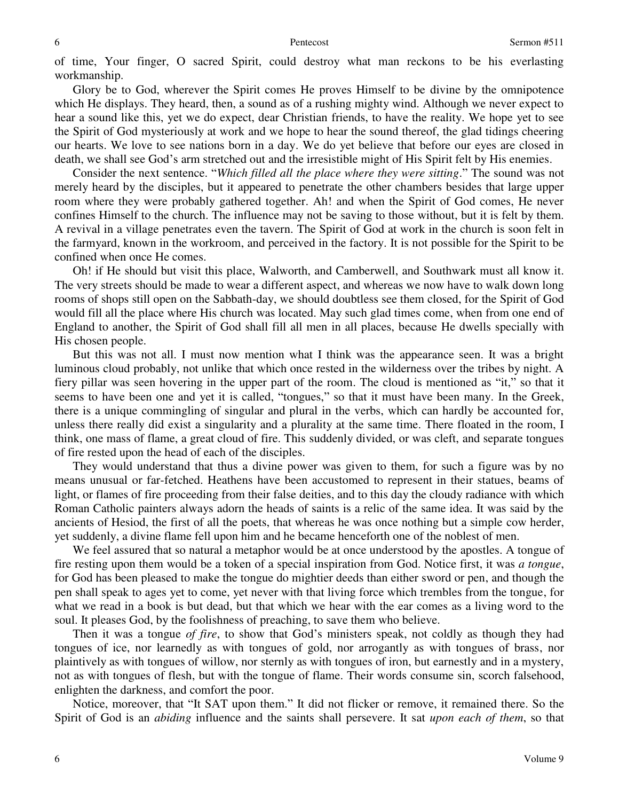of time, Your finger, O sacred Spirit, could destroy what man reckons to be his everlasting workmanship.

Glory be to God, wherever the Spirit comes He proves Himself to be divine by the omnipotence which He displays. They heard, then, a sound as of a rushing mighty wind. Although we never expect to hear a sound like this, yet we do expect, dear Christian friends, to have the reality. We hope yet to see the Spirit of God mysteriously at work and we hope to hear the sound thereof, the glad tidings cheering our hearts. We love to see nations born in a day. We do yet believe that before our eyes are closed in death, we shall see God's arm stretched out and the irresistible might of His Spirit felt by His enemies.

Consider the next sentence. "*Which filled all the place where they were sitting*." The sound was not merely heard by the disciples, but it appeared to penetrate the other chambers besides that large upper room where they were probably gathered together. Ah! and when the Spirit of God comes, He never confines Himself to the church. The influence may not be saving to those without, but it is felt by them. A revival in a village penetrates even the tavern. The Spirit of God at work in the church is soon felt in the farmyard, known in the workroom, and perceived in the factory. It is not possible for the Spirit to be confined when once He comes.

Oh! if He should but visit this place, Walworth, and Camberwell, and Southwark must all know it. The very streets should be made to wear a different aspect, and whereas we now have to walk down long rooms of shops still open on the Sabbath-day, we should doubtless see them closed, for the Spirit of God would fill all the place where His church was located. May such glad times come, when from one end of England to another, the Spirit of God shall fill all men in all places, because He dwells specially with His chosen people.

But this was not all. I must now mention what I think was the appearance seen. It was a bright luminous cloud probably, not unlike that which once rested in the wilderness over the tribes by night. A fiery pillar was seen hovering in the upper part of the room. The cloud is mentioned as "it," so that it seems to have been one and yet it is called, "tongues," so that it must have been many. In the Greek, there is a unique commingling of singular and plural in the verbs, which can hardly be accounted for, unless there really did exist a singularity and a plurality at the same time. There floated in the room, I think, one mass of flame, a great cloud of fire. This suddenly divided, or was cleft, and separate tongues of fire rested upon the head of each of the disciples.

They would understand that thus a divine power was given to them, for such a figure was by no means unusual or far-fetched. Heathens have been accustomed to represent in their statues, beams of light, or flames of fire proceeding from their false deities, and to this day the cloudy radiance with which Roman Catholic painters always adorn the heads of saints is a relic of the same idea. It was said by the ancients of Hesiod, the first of all the poets, that whereas he was once nothing but a simple cow herder, yet suddenly, a divine flame fell upon him and he became henceforth one of the noblest of men.

We feel assured that so natural a metaphor would be at once understood by the apostles. A tongue of fire resting upon them would be a token of a special inspiration from God. Notice first, it was *a tongue*, for God has been pleased to make the tongue do mightier deeds than either sword or pen, and though the pen shall speak to ages yet to come, yet never with that living force which trembles from the tongue, for what we read in a book is but dead, but that which we hear with the ear comes as a living word to the soul. It pleases God, by the foolishness of preaching, to save them who believe.

Then it was a tongue *of fire*, to show that God's ministers speak, not coldly as though they had tongues of ice, nor learnedly as with tongues of gold, nor arrogantly as with tongues of brass, nor plaintively as with tongues of willow, nor sternly as with tongues of iron, but earnestly and in a mystery, not as with tongues of flesh, but with the tongue of flame. Their words consume sin, scorch falsehood, enlighten the darkness, and comfort the poor.

Notice, moreover, that "It SAT upon them." It did not flicker or remove, it remained there. So the Spirit of God is an *abiding* influence and the saints shall persevere. It sat *upon each of them*, so that

6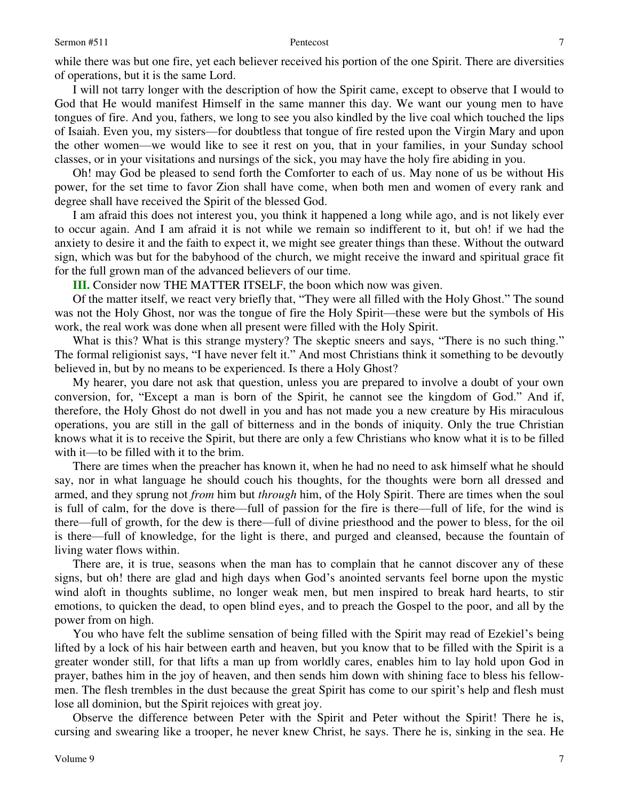### Sermon #511 Pentecost

while there was but one fire, yet each believer received his portion of the one Spirit. There are diversities of operations, but it is the same Lord.

I will not tarry longer with the description of how the Spirit came, except to observe that I would to God that He would manifest Himself in the same manner this day. We want our young men to have tongues of fire. And you, fathers, we long to see you also kindled by the live coal which touched the lips of Isaiah. Even you, my sisters—for doubtless that tongue of fire rested upon the Virgin Mary and upon the other women—we would like to see it rest on you, that in your families, in your Sunday school classes, or in your visitations and nursings of the sick, you may have the holy fire abiding in you.

Oh! may God be pleased to send forth the Comforter to each of us. May none of us be without His power, for the set time to favor Zion shall have come, when both men and women of every rank and degree shall have received the Spirit of the blessed God.

I am afraid this does not interest you, you think it happened a long while ago, and is not likely ever to occur again. And I am afraid it is not while we remain so indifferent to it, but oh! if we had the anxiety to desire it and the faith to expect it, we might see greater things than these. Without the outward sign, which was but for the babyhood of the church, we might receive the inward and spiritual grace fit for the full grown man of the advanced believers of our time.

**III.** Consider now THE MATTER ITSELF, the boon which now was given.

Of the matter itself, we react very briefly that, "They were all filled with the Holy Ghost." The sound was not the Holy Ghost, nor was the tongue of fire the Holy Spirit—these were but the symbols of His work, the real work was done when all present were filled with the Holy Spirit.

What is this? What is this strange mystery? The skeptic sneers and says, "There is no such thing." The formal religionist says, "I have never felt it." And most Christians think it something to be devoutly believed in, but by no means to be experienced. Is there a Holy Ghost?

My hearer, you dare not ask that question, unless you are prepared to involve a doubt of your own conversion, for, "Except a man is born of the Spirit, he cannot see the kingdom of God." And if, therefore, the Holy Ghost do not dwell in you and has not made you a new creature by His miraculous operations, you are still in the gall of bitterness and in the bonds of iniquity. Only the true Christian knows what it is to receive the Spirit, but there are only a few Christians who know what it is to be filled with it—to be filled with it to the brim.

There are times when the preacher has known it, when he had no need to ask himself what he should say, nor in what language he should couch his thoughts, for the thoughts were born all dressed and armed, and they sprung not *from* him but *through* him, of the Holy Spirit. There are times when the soul is full of calm, for the dove is there—full of passion for the fire is there—full of life, for the wind is there—full of growth, for the dew is there—full of divine priesthood and the power to bless, for the oil is there—full of knowledge, for the light is there, and purged and cleansed, because the fountain of living water flows within.

There are, it is true, seasons when the man has to complain that he cannot discover any of these signs, but oh! there are glad and high days when God's anointed servants feel borne upon the mystic wind aloft in thoughts sublime, no longer weak men, but men inspired to break hard hearts, to stir emotions, to quicken the dead, to open blind eyes, and to preach the Gospel to the poor, and all by the power from on high.

You who have felt the sublime sensation of being filled with the Spirit may read of Ezekiel's being lifted by a lock of his hair between earth and heaven, but you know that to be filled with the Spirit is a greater wonder still, for that lifts a man up from worldly cares, enables him to lay hold upon God in prayer, bathes him in the joy of heaven, and then sends him down with shining face to bless his fellowmen. The flesh trembles in the dust because the great Spirit has come to our spirit's help and flesh must lose all dominion, but the Spirit rejoices with great joy.

Observe the difference between Peter with the Spirit and Peter without the Spirit! There he is, cursing and swearing like a trooper, he never knew Christ, he says. There he is, sinking in the sea. He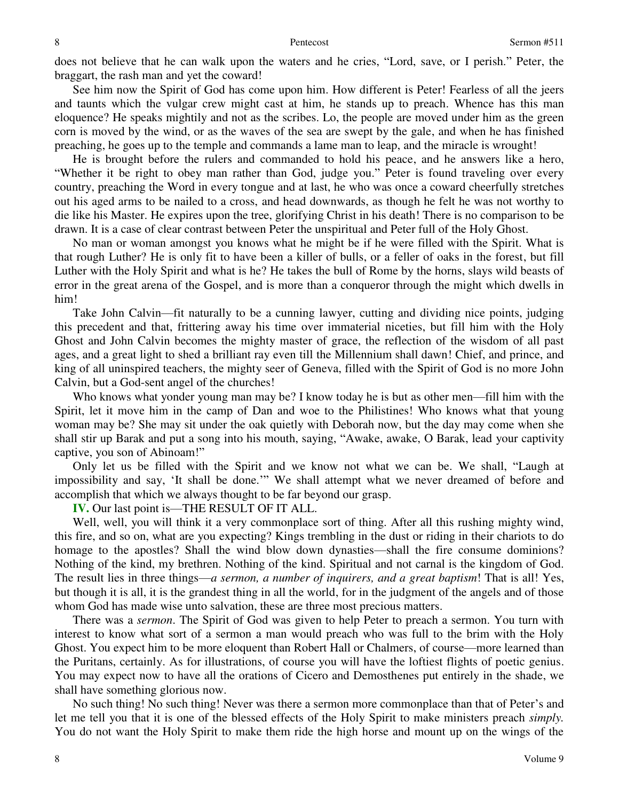does not believe that he can walk upon the waters and he cries, "Lord, save, or I perish." Peter, the braggart, the rash man and yet the coward!

See him now the Spirit of God has come upon him. How different is Peter! Fearless of all the jeers and taunts which the vulgar crew might cast at him, he stands up to preach. Whence has this man eloquence? He speaks mightily and not as the scribes. Lo, the people are moved under him as the green corn is moved by the wind, or as the waves of the sea are swept by the gale, and when he has finished preaching, he goes up to the temple and commands a lame man to leap, and the miracle is wrought!

He is brought before the rulers and commanded to hold his peace, and he answers like a hero, "Whether it be right to obey man rather than God, judge you." Peter is found traveling over every country, preaching the Word in every tongue and at last, he who was once a coward cheerfully stretches out his aged arms to be nailed to a cross, and head downwards, as though he felt he was not worthy to die like his Master. He expires upon the tree, glorifying Christ in his death! There is no comparison to be drawn. It is a case of clear contrast between Peter the unspiritual and Peter full of the Holy Ghost.

No man or woman amongst you knows what he might be if he were filled with the Spirit. What is that rough Luther? He is only fit to have been a killer of bulls, or a feller of oaks in the forest, but fill Luther with the Holy Spirit and what is he? He takes the bull of Rome by the horns, slays wild beasts of error in the great arena of the Gospel, and is more than a conqueror through the might which dwells in him!

Take John Calvin—fit naturally to be a cunning lawyer, cutting and dividing nice points, judging this precedent and that, frittering away his time over immaterial niceties, but fill him with the Holy Ghost and John Calvin becomes the mighty master of grace, the reflection of the wisdom of all past ages, and a great light to shed a brilliant ray even till the Millennium shall dawn! Chief, and prince, and king of all uninspired teachers, the mighty seer of Geneva, filled with the Spirit of God is no more John Calvin, but a God-sent angel of the churches!

Who knows what yonder young man may be? I know today he is but as other men—fill him with the Spirit, let it move him in the camp of Dan and woe to the Philistines! Who knows what that young woman may be? She may sit under the oak quietly with Deborah now, but the day may come when she shall stir up Barak and put a song into his mouth, saying, "Awake, awake, O Barak, lead your captivity captive, you son of Abinoam!"

Only let us be filled with the Spirit and we know not what we can be. We shall, "Laugh at impossibility and say, 'It shall be done.'" We shall attempt what we never dreamed of before and accomplish that which we always thought to be far beyond our grasp.

**IV.** Our last point is—THE RESULT OF IT ALL.

Well, well, you will think it a very commonplace sort of thing. After all this rushing mighty wind, this fire, and so on, what are you expecting? Kings trembling in the dust or riding in their chariots to do homage to the apostles? Shall the wind blow down dynasties—shall the fire consume dominions? Nothing of the kind, my brethren. Nothing of the kind. Spiritual and not carnal is the kingdom of God. The result lies in three things—*a sermon, a number of inquirers, and a great baptism*! That is all! Yes, but though it is all, it is the grandest thing in all the world, for in the judgment of the angels and of those whom God has made wise unto salvation, these are three most precious matters.

There was a *sermon*. The Spirit of God was given to help Peter to preach a sermon. You turn with interest to know what sort of a sermon a man would preach who was full to the brim with the Holy Ghost. You expect him to be more eloquent than Robert Hall or Chalmers, of course—more learned than the Puritans, certainly. As for illustrations, of course you will have the loftiest flights of poetic genius. You may expect now to have all the orations of Cicero and Demosthenes put entirely in the shade, we shall have something glorious now.

No such thing! No such thing! Never was there a sermon more commonplace than that of Peter's and let me tell you that it is one of the blessed effects of the Holy Spirit to make ministers preach *simply.* You do not want the Holy Spirit to make them ride the high horse and mount up on the wings of the

8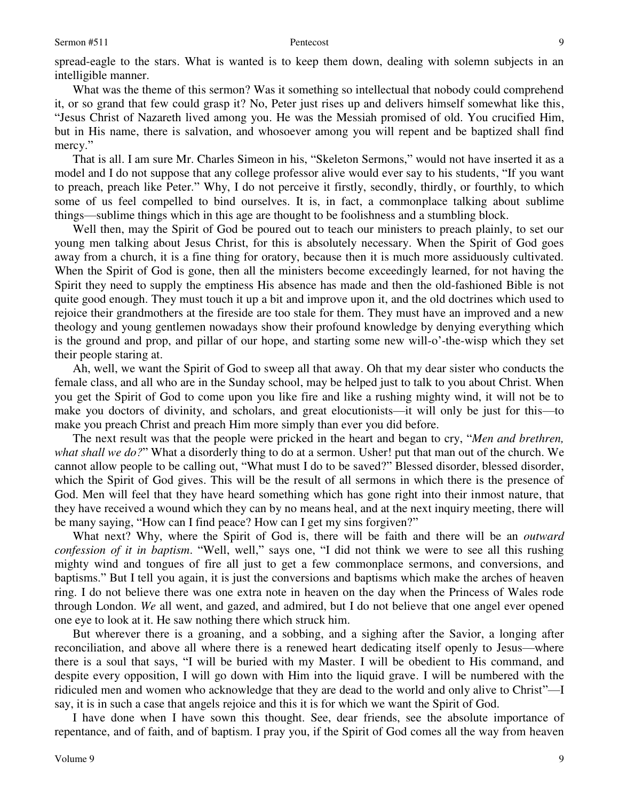spread-eagle to the stars. What is wanted is to keep them down, dealing with solemn subjects in an intelligible manner.

What was the theme of this sermon? Was it something so intellectual that nobody could comprehend it, or so grand that few could grasp it? No, Peter just rises up and delivers himself somewhat like this, "Jesus Christ of Nazareth lived among you. He was the Messiah promised of old. You crucified Him, but in His name, there is salvation, and whosoever among you will repent and be baptized shall find mercy."

That is all. I am sure Mr. Charles Simeon in his, "Skeleton Sermons," would not have inserted it as a model and I do not suppose that any college professor alive would ever say to his students, "If you want to preach, preach like Peter." Why, I do not perceive it firstly, secondly, thirdly, or fourthly, to which some of us feel compelled to bind ourselves. It is, in fact, a commonplace talking about sublime things—sublime things which in this age are thought to be foolishness and a stumbling block.

Well then, may the Spirit of God be poured out to teach our ministers to preach plainly, to set our young men talking about Jesus Christ, for this is absolutely necessary. When the Spirit of God goes away from a church, it is a fine thing for oratory, because then it is much more assiduously cultivated. When the Spirit of God is gone, then all the ministers become exceedingly learned, for not having the Spirit they need to supply the emptiness His absence has made and then the old-fashioned Bible is not quite good enough. They must touch it up a bit and improve upon it, and the old doctrines which used to rejoice their grandmothers at the fireside are too stale for them. They must have an improved and a new theology and young gentlemen nowadays show their profound knowledge by denying everything which is the ground and prop, and pillar of our hope, and starting some new will-o'-the-wisp which they set their people staring at.

Ah, well, we want the Spirit of God to sweep all that away. Oh that my dear sister who conducts the female class, and all who are in the Sunday school, may be helped just to talk to you about Christ. When you get the Spirit of God to come upon you like fire and like a rushing mighty wind, it will not be to make you doctors of divinity, and scholars, and great elocutionists—it will only be just for this—to make you preach Christ and preach Him more simply than ever you did before.

The next result was that the people were pricked in the heart and began to cry, "*Men and brethren, what shall we do?*" What a disorderly thing to do at a sermon. Usher! put that man out of the church. We cannot allow people to be calling out, "What must I do to be saved?" Blessed disorder, blessed disorder, which the Spirit of God gives. This will be the result of all sermons in which there is the presence of God. Men will feel that they have heard something which has gone right into their inmost nature, that they have received a wound which they can by no means heal, and at the next inquiry meeting, there will be many saying, "How can I find peace? How can I get my sins forgiven?"

What next? Why, where the Spirit of God is, there will be faith and there will be an *outward confession of it in baptism*. "Well, well," says one, "I did not think we were to see all this rushing mighty wind and tongues of fire all just to get a few commonplace sermons, and conversions, and baptisms." But I tell you again, it is just the conversions and baptisms which make the arches of heaven ring. I do not believe there was one extra note in heaven on the day when the Princess of Wales rode through London. *We* all went, and gazed, and admired, but I do not believe that one angel ever opened one eye to look at it. He saw nothing there which struck him.

But wherever there is a groaning, and a sobbing, and a sighing after the Savior, a longing after reconciliation, and above all where there is a renewed heart dedicating itself openly to Jesus—where there is a soul that says, "I will be buried with my Master. I will be obedient to His command, and despite every opposition, I will go down with Him into the liquid grave. I will be numbered with the ridiculed men and women who acknowledge that they are dead to the world and only alive to Christ"—I say, it is in such a case that angels rejoice and this it is for which we want the Spirit of God.

I have done when I have sown this thought. See, dear friends, see the absolute importance of repentance, and of faith, and of baptism. I pray you, if the Spirit of God comes all the way from heaven